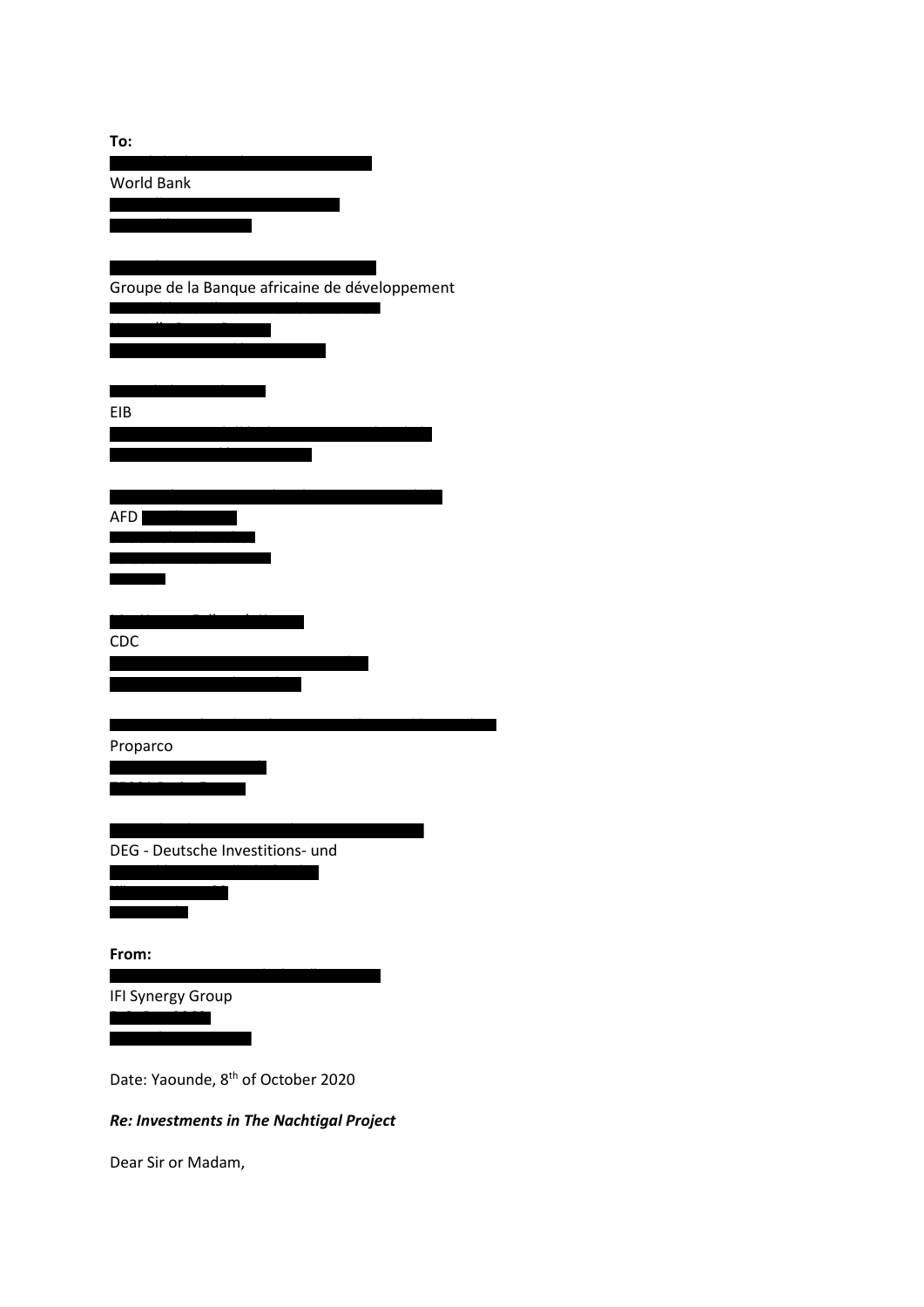| To:                                                                                                                  |
|----------------------------------------------------------------------------------------------------------------------|
| <b>World Bank</b>                                                                                                    |
|                                                                                                                      |
|                                                                                                                      |
|                                                                                                                      |
| Groupe de la Banque africaine de développement                                                                       |
|                                                                                                                      |
|                                                                                                                      |
|                                                                                                                      |
|                                                                                                                      |
| EIB                                                                                                                  |
|                                                                                                                      |
|                                                                                                                      |
| AFD <sup>1</sup>                                                                                                     |
|                                                                                                                      |
|                                                                                                                      |
|                                                                                                                      |
|                                                                                                                      |
| CDC                                                                                                                  |
|                                                                                                                      |
|                                                                                                                      |
| Proparco                                                                                                             |
|                                                                                                                      |
|                                                                                                                      |
|                                                                                                                      |
| DEG - Deutsche Investitions- und                                                                                     |
|                                                                                                                      |
| <u>e de la propincia de la propincia de la propincia de la propincia de la propincia de la propincia de la propi</u> |
|                                                                                                                      |
| From:                                                                                                                |
| IFI Synergy Group                                                                                                    |
|                                                                                                                      |
|                                                                                                                      |
| Date: Yaounde, 8 <sup>th</sup> of October 2020                                                                       |
|                                                                                                                      |

## *Re: Investments in The Nachtigal Project*

Dear Sir or Madam,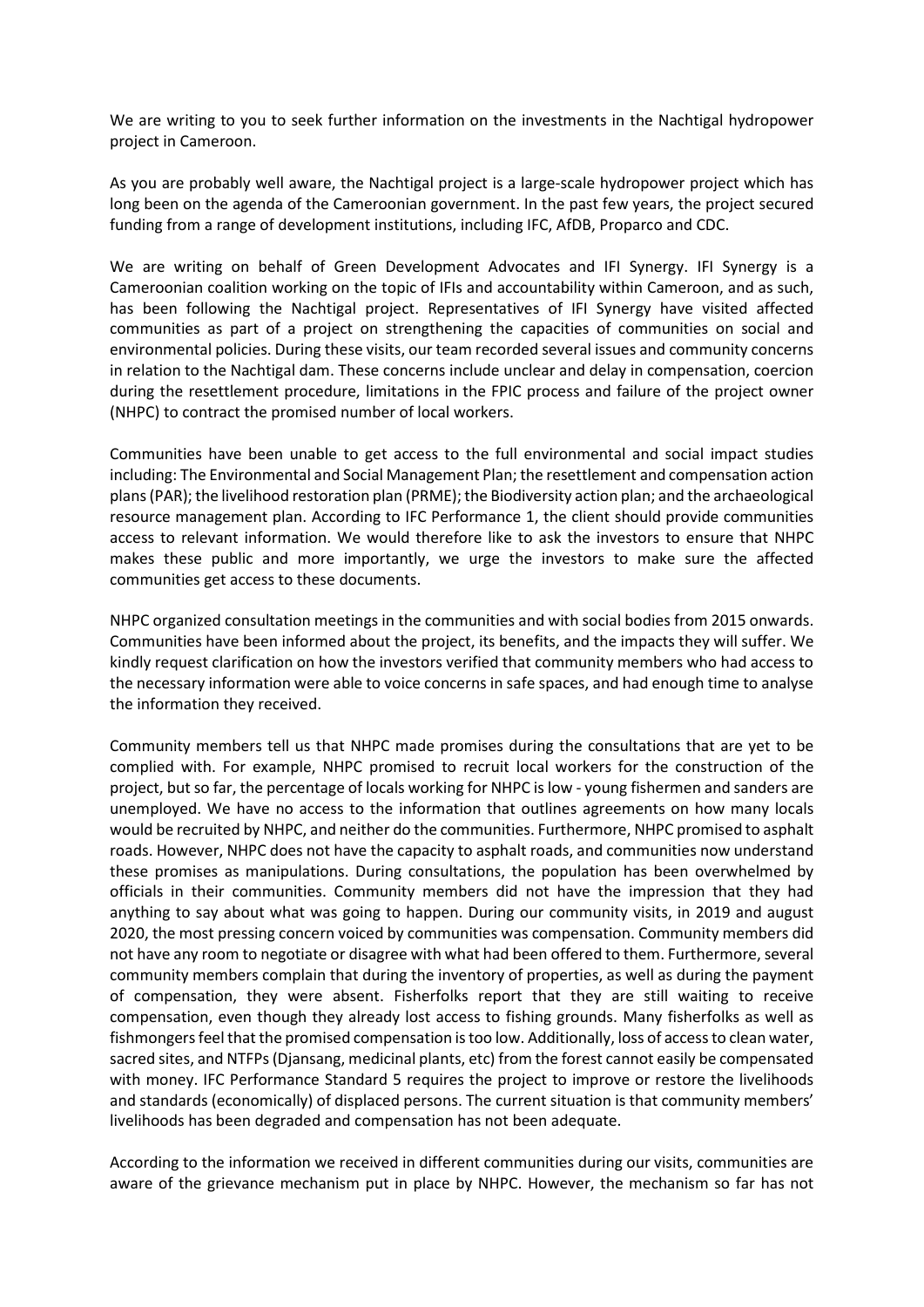We are writing to you to seek further information on the investments in the Nachtigal hydropower project in Cameroon.

As you are probably well aware, the Nachtigal project is a large-scale hydropower project which has long been on the agenda of the Cameroonian government. In the past few years, the project secured funding from a range of development institutions, including IFC, AfDB, Proparco and CDC.

We are writing on behalf of Green Development Advocates and IFI Synergy. IFI Synergy is a Cameroonian coalition working on the topic of IFIs and accountability within Cameroon, and as such, has been following the Nachtigal project. Representatives of IFI Synergy have visited affected communities as part of a project on strengthening the capacities of communities on social and environmental policies. During these visits, our team recorded several issues and community concerns in relation to the Nachtigal dam. These concerns include unclear and delay in compensation, coercion during the resettlement procedure, limitations in the FPIC process and failure of the project owner (NHPC) to contract the promised number of local workers.

Communities have been unable to get access to the full environmental and social impact studies including: The Environmental and Social Management Plan; the resettlement and compensation action plans (PAR); the livelihood restoration plan (PRME); the Biodiversity action plan; and the archaeological resource management plan. According to IFC Performance 1, the client should provide communities access to relevant information. We would therefore like to ask the investors to ensure that NHPC makes these public and more importantly, we urge the investors to make sure the affected communities get access to these documents.

NHPC organized consultation meetings in the communities and with social bodies from 2015 onwards. Communities have been informed about the project, its benefits, and the impacts they will suffer. We kindly request clarification on how the investors verified that community members who had access to the necessary information were able to voice concerns in safe spaces, and had enough time to analyse the information they received.

Community members tell us that NHPC made promises during the consultations that are yet to be complied with. For example, NHPC promised to recruit local workers for the construction of the project, but so far, the percentage of locals working for NHPC is low - young fishermen and sanders are unemployed. We have no access to the information that outlines agreements on how many locals would be recruited by NHPC, and neither do the communities. Furthermore, NHPC promised to asphalt roads. However, NHPC does not have the capacity to asphalt roads, and communities now understand these promises as manipulations. During consultations, the population has been overwhelmed by officials in their communities. Community members did not have the impression that they had anything to say about what was going to happen. During our community visits, in 2019 and august 2020, the most pressing concern voiced by communities was compensation. Community members did not have any room to negotiate or disagree with what had been offered to them. Furthermore, several community members complain that during the inventory of properties, as well as during the payment of compensation, they were absent. Fisherfolks report that they are still waiting to receive compensation, even though they already lost access to fishing grounds. Many fisherfolks as well as fishmongers feel that the promised compensation is too low. Additionally, loss of access to clean water, sacred sites, and NTFPs (Djansang, medicinal plants, etc) from the forest cannot easily be compensated with money. IFC Performance Standard 5 requires the project to improve or restore the livelihoods and standards (economically) of displaced persons. The current situation is that community members' livelihoods has been degraded and compensation has not been adequate.

According to the information we received in different communities during our visits, communities are aware of the grievance mechanism put in place by NHPC. However, the mechanism so far has not